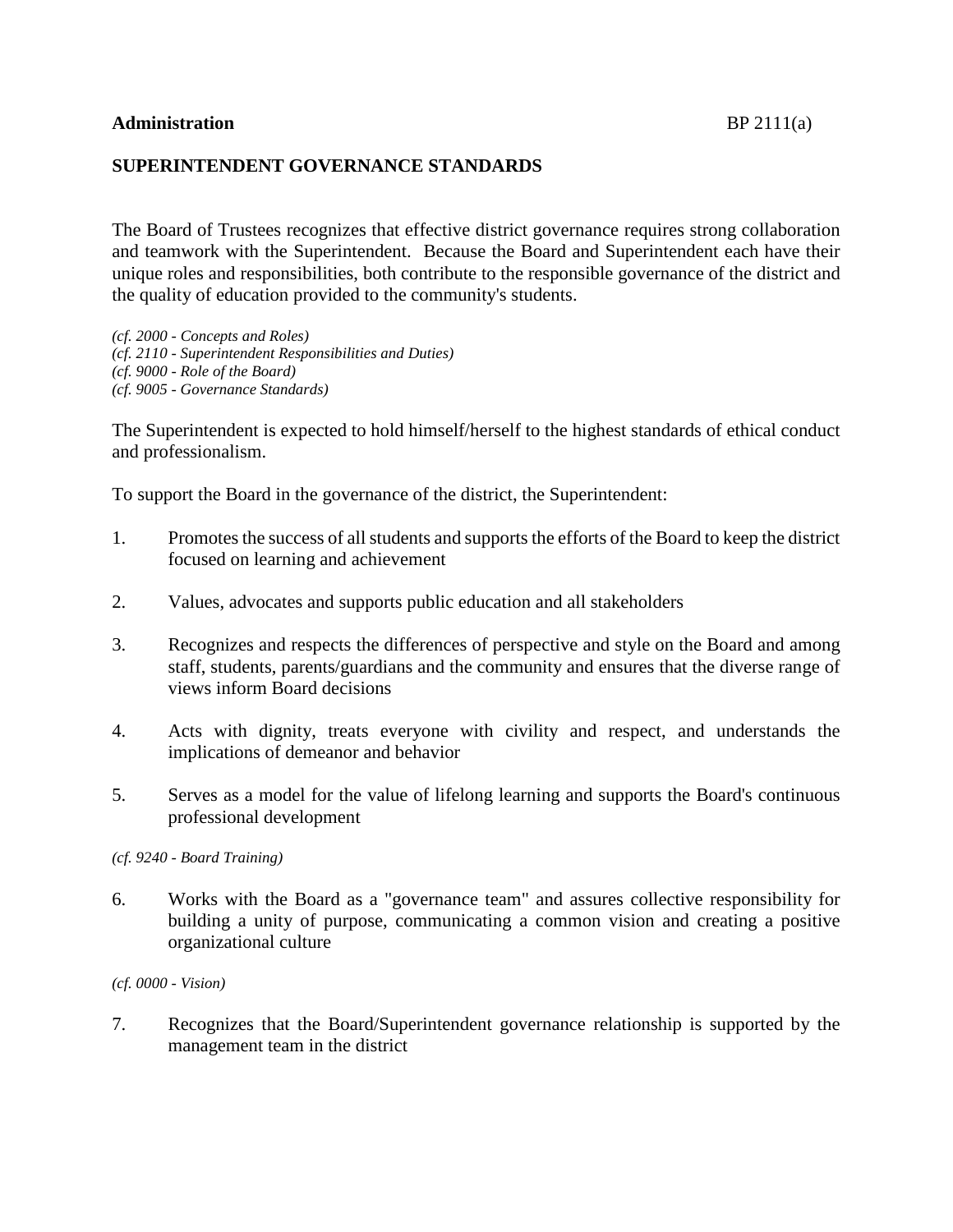## **SUPERINTENDENT GOVERNANCE STANDARDS**

The Board of Trustees recognizes that effective district governance requires strong collaboration and teamwork with the Superintendent. Because the Board and Superintendent each have their unique roles and responsibilities, both contribute to the responsible governance of the district and the quality of education provided to the community's students.

*(cf. 2000 - Concepts and Roles) (cf. 2110 - Superintendent Responsibilities and Duties) (cf. 9000 - Role of the Board) (cf. 9005 - Governance Standards)*

The Superintendent is expected to hold himself/herself to the highest standards of ethical conduct and professionalism.

To support the Board in the governance of the district, the Superintendent:

- 1. Promotes the success of all students and supports the efforts of the Board to keep the district focused on learning and achievement
- 2. Values, advocates and supports public education and all stakeholders
- 3. Recognizes and respects the differences of perspective and style on the Board and among staff, students, parents/guardians and the community and ensures that the diverse range of views inform Board decisions
- 4. Acts with dignity, treats everyone with civility and respect, and understands the implications of demeanor and behavior
- 5. Serves as a model for the value of lifelong learning and supports the Board's continuous professional development

*(cf. 9240 - Board Training)*

6. Works with the Board as a "governance team" and assures collective responsibility for building a unity of purpose, communicating a common vision and creating a positive organizational culture

*(cf. 0000 - Vision)*

7. Recognizes that the Board/Superintendent governance relationship is supported by the management team in the district